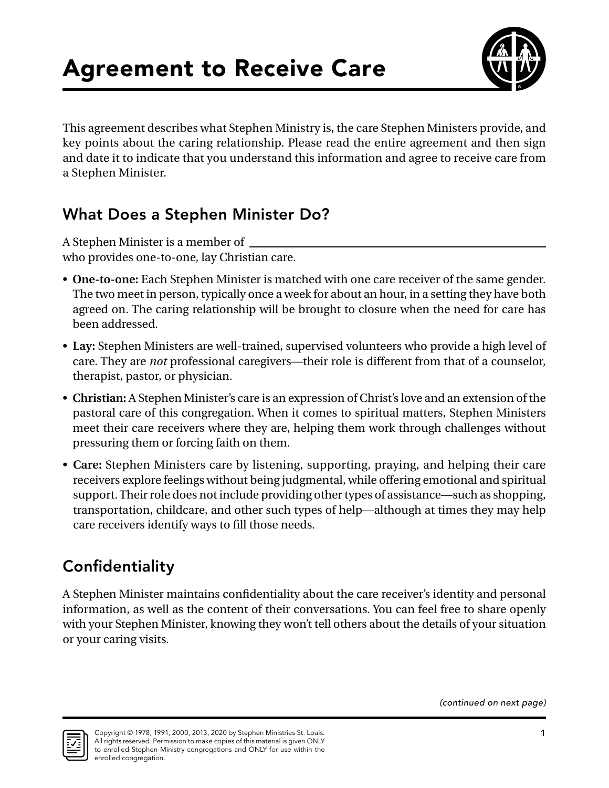

This agreement describes what Stephen Ministry is, the care Stephen Ministers provide, and key points about the caring relationship. Please read the entire agreement and then sign and date it to indicate that you understand this information and agree to receive care from a Stephen Minister.

### What Does a Stephen Minister Do?

A Stephen Minister is a member of who provides one-to-one, lay Christian care.

- **One-to-one:** Each Stephen Minister is matched with one care receiver of the same gender. The two meet in person, typically once a week for about an hour, in a setting they have both agreed on. The caring relationship will be brought to closure when the need for care has been addressed.
- **Lay:** Stephen Ministers are well-trained, supervised volunteers who provide a high level of care. They are *not* professional caregivers—their role is different from that of a counselor, therapist, pastor, or physician.
- **Christian:** A Stephen Minister's care is an expression of Christ's love and an extension of the pastoral care of this congregation. When it comes to spiritual matters, Stephen Ministers meet their care receivers where they are, helping them work through challenges without pressuring them or forcing faith on them.
- **Care:** Stephen Ministers care by listening, supporting, praying, and helping their care receivers explore feelings without being judgmental, while offering emotional and spiritual support. Their role does not include providing other types of assistance—such as shopping, transportation, childcare, and other such types of help—although at times they may help care receivers identify ways to fill those needs.

# **Confidentiality**

A Stephen Minister maintains confidentiality about the care receiver's identity and personal information, as well as the content of their conversations. You can feel free to share openly with your Stephen Minister, knowing they won't tell others about the details of your situation or your caring visits.

*(continued on next page)*